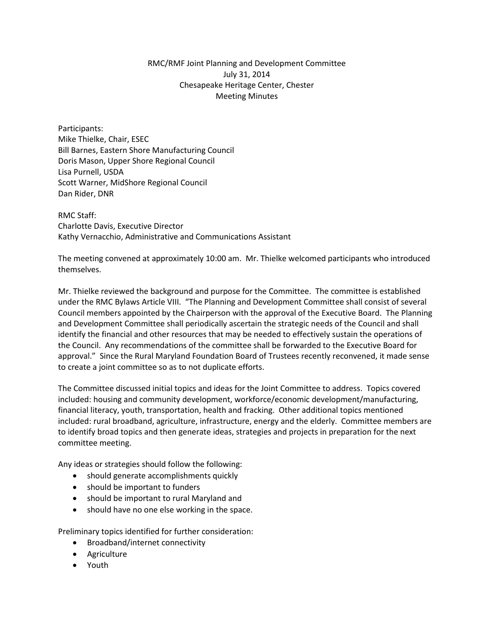## RMC/RMF Joint Planning and Development Committee July 31, 2014 Chesapeake Heritage Center, Chester Meeting Minutes

Participants: Mike Thielke, Chair, ESEC Bill Barnes, Eastern Shore Manufacturing Council Doris Mason, Upper Shore Regional Council Lisa Purnell, USDA Scott Warner, MidShore Regional Council Dan Rider, DNR

RMC Staff: Charlotte Davis, Executive Director Kathy Vernacchio, Administrative and Communications Assistant

The meeting convened at approximately 10:00 am. Mr. Thielke welcomed participants who introduced themselves.

Mr. Thielke reviewed the background and purpose for the Committee. The committee is established under the RMC Bylaws Article VIII. "The Planning and Development Committee shall consist of several Council members appointed by the Chairperson with the approval of the Executive Board. The Planning and Development Committee shall periodically ascertain the strategic needs of the Council and shall identify the financial and other resources that may be needed to effectively sustain the operations of the Council. Any recommendations of the committee shall be forwarded to the Executive Board for approval." Since the Rural Maryland Foundation Board of Trustees recently reconvened, it made sense to create a joint committee so as to not duplicate efforts.

The Committee discussed initial topics and ideas for the Joint Committee to address. Topics covered included: housing and community development, workforce/economic development/manufacturing, financial literacy, youth, transportation, health and fracking. Other additional topics mentioned included: rural broadband, agriculture, infrastructure, energy and the elderly. Committee members are to identify broad topics and then generate ideas, strategies and projects in preparation for the next committee meeting.

Any ideas or strategies should follow the following:

- should generate accomplishments quickly
- should be important to funders
- should be important to rural Maryland and
- should have no one else working in the space.

Preliminary topics identified for further consideration:

- Broadband/internet connectivity
- **•** Agriculture
- Youth